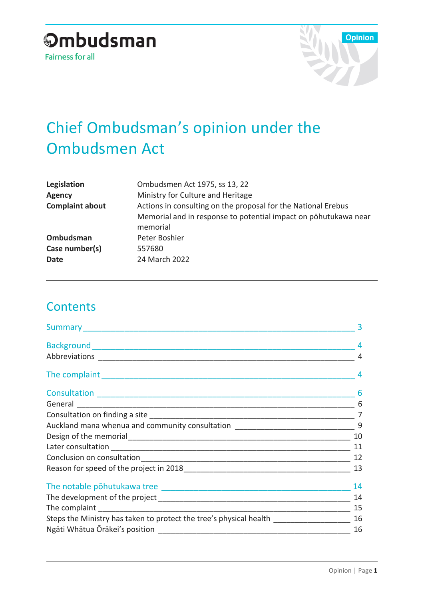

# Chief Ombudsman's opinion under the Ombudsmen Act

| Legislation            | Ombudsmen Act 1975, ss 13, 22                                   |
|------------------------|-----------------------------------------------------------------|
| <b>Agency</b>          | Ministry for Culture and Heritage                               |
| <b>Complaint about</b> | Actions in consulting on the proposal for the National Erebus   |
|                        | Memorial and in response to potential impact on pohutukawa near |
|                        | memorial                                                        |
| Ombudsman              | Peter Boshier                                                   |
| Case number(s)         | 557680                                                          |
| Date                   | 24 March 2022                                                   |
|                        |                                                                 |

### **Contents**

|                                                                                   | 3  |
|-----------------------------------------------------------------------------------|----|
|                                                                                   |    |
|                                                                                   |    |
|                                                                                   | 4  |
|                                                                                   | 6  |
|                                                                                   | 6  |
|                                                                                   |    |
| Auckland mana whenua and community consultation ________________________________  | 9  |
|                                                                                   | 10 |
|                                                                                   | 11 |
|                                                                                   | 12 |
|                                                                                   | 13 |
|                                                                                   | 14 |
|                                                                                   | 14 |
|                                                                                   |    |
| Steps the Ministry has taken to protect the tree's physical health ______________ |    |
|                                                                                   | 16 |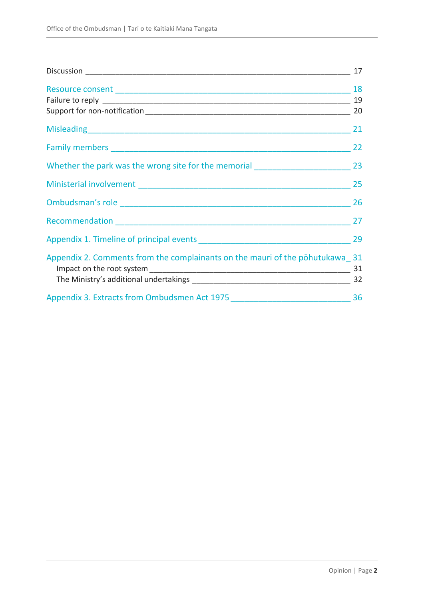|                                                                                  | 17 |
|----------------------------------------------------------------------------------|----|
|                                                                                  | 18 |
|                                                                                  | 19 |
|                                                                                  | 20 |
|                                                                                  | 21 |
|                                                                                  | 22 |
| Whether the park was the wrong site for the memorial ___________________________ | 23 |
|                                                                                  | 25 |
|                                                                                  | 26 |
| Recommendation entrance and the commendation                                     | 27 |
|                                                                                  | 29 |
| Appendix 2. Comments from the complainants on the mauri of the pohutukawa 31     |    |
|                                                                                  | 31 |
|                                                                                  | 32 |
| Appendix 3. Extracts from Ombudsmen Act 1975 36                                  |    |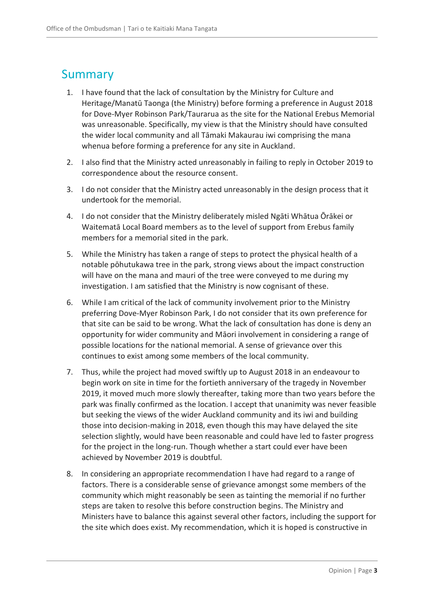### <span id="page-2-0"></span>Summary

- 1. I have found that the lack of consultation by the Ministry for Culture and Heritage/Manatū Taonga (the Ministry) before forming a preference in August 2018 for Dove-Myer Robinson Park/Taurarua as the site for the National Erebus Memorial was unreasonable. Specifically, my view is that the Ministry should have consulted the wider local community and all Tāmaki Makaurau iwi comprising the mana whenua before forming a preference for any site in Auckland.
- 2. I also find that the Ministry acted unreasonably in failing to reply in October 2019 to correspondence about the resource consent.
- 3. I do not consider that the Ministry acted unreasonably in the design process that it undertook for the memorial.
- 4. I do not consider that the Ministry deliberately misled Ngāti Whātua Ōrākei or Waitematā Local Board members as to the level of support from Erebus family members for a memorial sited in the park.
- 5. While the Ministry has taken a range of steps to protect the physical health of a notable pōhutukawa tree in the park, strong views about the impact construction will have on the mana and mauri of the tree were conveyed to me during my investigation. I am satisfied that the Ministry is now cognisant of these.
- 6. While I am critical of the lack of community involvement prior to the Ministry preferring Dove-Myer Robinson Park, I do not consider that its own preference for that site can be said to be wrong. What the lack of consultation has done is deny an opportunity for wider community and Māori involvement in considering a range of possible locations for the national memorial. A sense of grievance over this continues to exist among some members of the local community.
- 7. Thus, while the project had moved swiftly up to August 2018 in an endeavour to begin work on site in time for the fortieth anniversary of the tragedy in November 2019, it moved much more slowly thereafter, taking more than two years before the park was finally confirmed as the location. I accept that unanimity was never feasible but seeking the views of the wider Auckland community and its iwi and building those into decision-making in 2018, even though this may have delayed the site selection slightly, would have been reasonable and could have led to faster progress for the project in the long-run. Though whether a start could ever have been achieved by November 2019 is doubtful.
- 8. In considering an appropriate recommendation I have had regard to a range of factors. There is a considerable sense of grievance amongst some members of the community which might reasonably be seen as tainting the memorial if no further steps are taken to resolve this before construction begins. The Ministry and Ministers have to balance this against several other factors, including the support for the site which does exist. My recommendation, which it is hoped is constructive in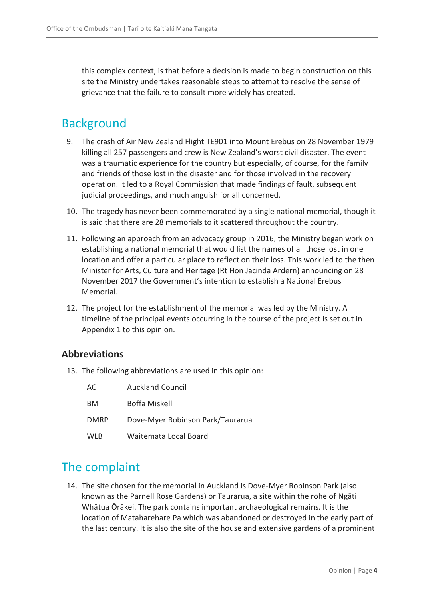this complex context, is that before a decision is made to begin construction on this site the Ministry undertakes reasonable steps to attempt to resolve the sense of grievance that the failure to consult more widely has created.

### <span id="page-3-0"></span>**Background**

- 9. The crash of Air New Zealand Flight TE901 into Mount Erebus on 28 November 1979 killing all 257 passengers and crew is New Zealand's worst civil disaster. The event was a traumatic experience for the country but especially, of course, for the family and friends of those lost in the disaster and for those involved in the recovery operation. It led to a Royal Commission that made findings of fault, subsequent judicial proceedings, and much anguish for all concerned.
- 10. The tragedy has never been commemorated by a single national memorial, though it is said that there are 28 memorials to it scattered throughout the country.
- 11. Following an approach from an advocacy group in 2016, the Ministry began work on establishing a national memorial that would list the names of all those lost in one location and offer a particular place to reflect on their loss. This work led to the then Minister for Arts, Culture and Heritage (Rt Hon Jacinda Ardern) announcing on 28 November 2017 the Government's intention to establish a National Erebus Memorial.
- 12. The project for the establishment of the memorial was led by the Ministry. A timeline of the principal events occurring in the course of the project is set out in Appendix 1 to this opinion.

### <span id="page-3-1"></span>**Abbreviations**

13. The following abbreviations are used in this opinion:

| AC.         | <b>Auckland Council</b>          |
|-------------|----------------------------------|
| BM          | Boffa Miskell                    |
| <b>DMRP</b> | Dove-Myer Robinson Park/Taurarua |
| <b>WLB</b>  | Waitemata Local Board            |

### <span id="page-3-2"></span>The complaint

14. The site chosen for the memorial in Auckland is Dove-Myer Robinson Park (also known as the Parnell Rose Gardens) or Taurarua, a site within the rohe of Ngāti Whātua Ōrākei. The park contains important archaeological remains. It is the location of Mataharehare Pa which was abandoned or destroyed in the early part of the last century. It is also the site of the house and extensive gardens of a prominent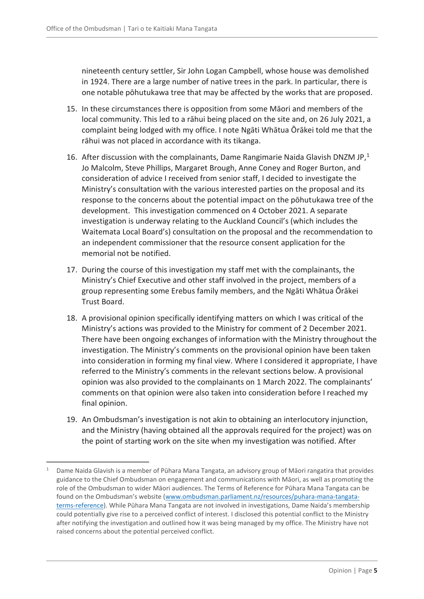nineteenth century settler, Sir John Logan Campbell, whose house was demolished in 1924. There are a large number of native trees in the park. In particular, there is one notable pōhutukawa tree that may be affected by the works that are proposed.

- 15. In these circumstances there is opposition from some Māori and members of the local community. This led to a rāhui being placed on the site and, on 26 July 2021, a complaint being lodged with my office. I note Ngāti Whātua Ōrākei told me that the rāhui was not placed in accordance with its tikanga.
- 16. After discussion with the complainants, Dame Rangimarie Naida Glavish DNZM JP, $<sup>1</sup>$ </sup> Jo Malcolm, Steve Phillips, Margaret Brough, Anne Coney and Roger Burton, and consideration of advice I received from senior staff, I decided to investigate the Ministry's consultation with the various interested parties on the proposal and its response to the concerns about the potential impact on the pōhutukawa tree of the development. This investigation commenced on 4 October 2021. A separate investigation is underway relating to the Auckland Council's (which includes the Waitemata Local Board's) consultation on the proposal and the recommendation to an independent commissioner that the resource consent application for the memorial not be notified.
- 17. During the course of this investigation my staff met with the complainants, the Ministry's Chief Executive and other staff involved in the project, members of a group representing some Erebus family members, and the Ngāti Whātua Ōrākei Trust Board.
- 18. A provisional opinion specifically identifying matters on which I was critical of the Ministry's actions was provided to the Ministry for comment of 2 December 2021. There have been ongoing exchanges of information with the Ministry throughout the investigation. The Ministry's comments on the provisional opinion have been taken into consideration in forming my final view. Where I considered it appropriate, I have referred to the Ministry's comments in the relevant sections below. A provisional opinion was also provided to the complainants on 1 March 2022. The complainants' comments on that opinion were also taken into consideration before I reached my final opinion.
- 19. An Ombudsman's investigation is not akin to obtaining an interlocutory injunction, and the Ministry (having obtained all the approvals required for the project) was on the point of starting work on the site when my investigation was notified. After

 $\overline{a}$ 

<sup>1</sup> Dame Naida Glavish is a member of Pūhara Mana Tangata, an advisory group of Māori rangatira that provides guidance to the Chief Ombudsman on engagement and communications with Māori, as well as promoting the role of the Ombudsman to wider Māori audiences. The Terms of Reference for Pūhara Mana Tangata can be found on the Ombudsman's website ([www.ombudsman.parliament.nz/resources/puhara-mana-tangata](http://www.ombudsman.parliament.nz/resources/puhara-mana-tangata-terms-reference)[terms-reference](http://www.ombudsman.parliament.nz/resources/puhara-mana-tangata-terms-reference)). While Pūhara Mana Tangata are not involved in investigations, Dame Naida's membership could potentially give rise to a perceived conflict of interest. I disclosed this potential conflict to the Ministry after notifying the investigation and outlined how it was being managed by my office. The Ministry have not raised concerns about the potential perceived conflict.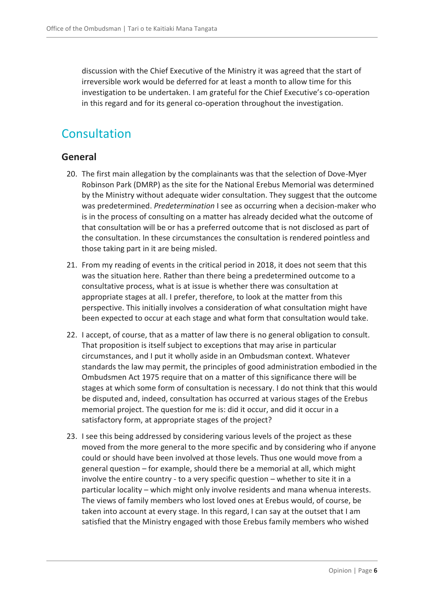discussion with the Chief Executive of the Ministry it was agreed that the start of irreversible work would be deferred for at least a month to allow time for this investigation to be undertaken. I am grateful for the Chief Executive's co-operation in this regard and for its general co-operation throughout the investigation.

### <span id="page-5-0"></span>Consultation

### <span id="page-5-1"></span>**General**

- 20. The first main allegation by the complainants was that the selection of Dove-Myer Robinson Park (DMRP) as the site for the National Erebus Memorial was determined by the Ministry without adequate wider consultation. They suggest that the outcome was predetermined. *Predetermination* I see as occurring when a decision-maker who is in the process of consulting on a matter has already decided what the outcome of that consultation will be or has a preferred outcome that is not disclosed as part of the consultation. In these circumstances the consultation is rendered pointless and those taking part in it are being misled.
- 21. From my reading of events in the critical period in 2018, it does not seem that this was the situation here. Rather than there being a predetermined outcome to a consultative process, what is at issue is whether there was consultation at appropriate stages at all. I prefer, therefore, to look at the matter from this perspective. This initially involves a consideration of what consultation might have been expected to occur at each stage and what form that consultation would take.
- 22. I accept, of course, that as a matter of law there is no general obligation to consult. That proposition is itself subject to exceptions that may arise in particular circumstances, and I put it wholly aside in an Ombudsman context. Whatever standards the law may permit, the principles of good administration embodied in the Ombudsmen Act 1975 require that on a matter of this significance there will be stages at which some form of consultation is necessary. I do not think that this would be disputed and, indeed, consultation has occurred at various stages of the Erebus memorial project. The question for me is: did it occur, and did it occur in a satisfactory form, at appropriate stages of the project?
- 23. I see this being addressed by considering various levels of the project as these moved from the more general to the more specific and by considering who if anyone could or should have been involved at those levels. Thus one would move from a general question – for example, should there be a memorial at all, which might involve the entire country - to a very specific question – whether to site it in a particular locality – which might only involve residents and mana whenua interests. The views of family members who lost loved ones at Erebus would, of course, be taken into account at every stage. In this regard, I can say at the outset that I am satisfied that the Ministry engaged with those Erebus family members who wished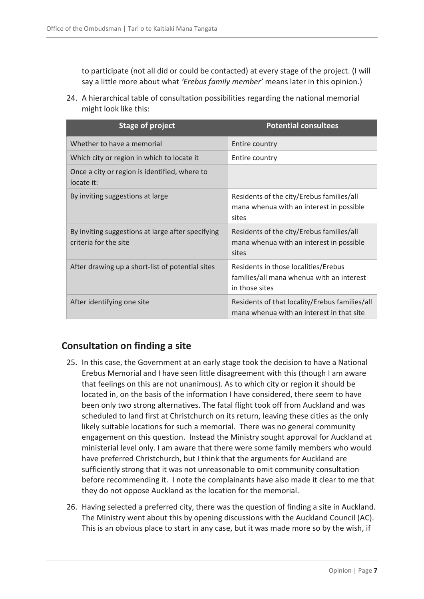to participate (not all did or could be contacted) at every stage of the project. (I will say a little more about what *'Erebus family member'* means later in this opinion.)

24. A hierarchical table of consultation possibilities regarding the national memorial might look like this:

| <b>Stage of project</b>                                                    | <b>Potential consultees</b>                                                                         |
|----------------------------------------------------------------------------|-----------------------------------------------------------------------------------------------------|
| Whether to have a memorial                                                 | Entire country                                                                                      |
| Which city or region in which to locate it                                 | Entire country                                                                                      |
| Once a city or region is identified, where to<br>locate it:                |                                                                                                     |
| By inviting suggestions at large                                           | Residents of the city/Erebus families/all<br>mana whenua with an interest in possible<br>sites      |
| By inviting suggestions at large after specifying<br>criteria for the site | Residents of the city/Erebus families/all<br>mana whenua with an interest in possible<br>sites      |
| After drawing up a short-list of potential sites                           | Residents in those localities/Erebus<br>families/all mana whenua with an interest<br>in those sites |
| After identifying one site                                                 | Residents of that locality/Erebus families/all<br>mana whenua with an interest in that site         |

### <span id="page-6-0"></span>**Consultation on finding a site**

- 25. In this case, the Government at an early stage took the decision to have a National Erebus Memorial and I have seen little disagreement with this (though I am aware that feelings on this are not unanimous). As to which city or region it should be located in, on the basis of the information I have considered, there seem to have been only two strong alternatives. The fatal flight took off from Auckland and was scheduled to land first at Christchurch on its return, leaving these cities as the only likely suitable locations for such a memorial. There was no general community engagement on this question. Instead the Ministry sought approval for Auckland at ministerial level only. I am aware that there were some family members who would have preferred Christchurch, but I think that the arguments for Auckland are sufficiently strong that it was not unreasonable to omit community consultation before recommending it. I note the complainants have also made it clear to me that they do not oppose Auckland as the location for the memorial.
- 26. Having selected a preferred city, there was the question of finding a site in Auckland. The Ministry went about this by opening discussions with the Auckland Council (AC). This is an obvious place to start in any case, but it was made more so by the wish, if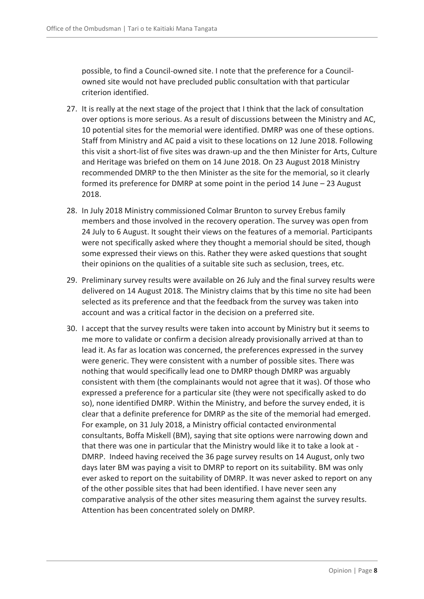possible, to find a Council-owned site. I note that the preference for a Councilowned site would not have precluded public consultation with that particular criterion identified.

- 27. It is really at the next stage of the project that I think that the lack of consultation over options is more serious. As a result of discussions between the Ministry and AC, 10 potential sites for the memorial were identified. DMRP was one of these options. Staff from Ministry and AC paid a visit to these locations on 12 June 2018. Following this visit a short-list of five sites was drawn-up and the then Minister for Arts, Culture and Heritage was briefed on them on 14 June 2018. On 23 August 2018 Ministry recommended DMRP to the then Minister as the site for the memorial, so it clearly formed its preference for DMRP at some point in the period 14 June – 23 August 2018.
- 28. In July 2018 Ministry commissioned Colmar Brunton to survey Erebus family members and those involved in the recovery operation. The survey was open from 24 July to 6 August. It sought their views on the features of a memorial. Participants were not specifically asked where they thought a memorial should be sited, though some expressed their views on this. Rather they were asked questions that sought their opinions on the qualities of a suitable site such as seclusion, trees, etc.
- 29. Preliminary survey results were available on 26 July and the final survey results were delivered on 14 August 2018. The Ministry claims that by this time no site had been selected as its preference and that the feedback from the survey was taken into account and was a critical factor in the decision on a preferred site.
- 30. I accept that the survey results were taken into account by Ministry but it seems to me more to validate or confirm a decision already provisionally arrived at than to lead it. As far as location was concerned, the preferences expressed in the survey were generic. They were consistent with a number of possible sites. There was nothing that would specifically lead one to DMRP though DMRP was arguably consistent with them (the complainants would not agree that it was). Of those who expressed a preference for a particular site (they were not specifically asked to do so), none identified DMRP. Within the Ministry, and before the survey ended, it is clear that a definite preference for DMRP as the site of the memorial had emerged. For example, on 31 July 2018, a Ministry official contacted environmental consultants, Boffa Miskell (BM), saying that site options were narrowing down and that there was one in particular that the Ministry would like it to take a look at - DMRP. Indeed having received the 36 page survey results on 14 August, only two days later BM was paying a visit to DMRP to report on its suitability. BM was only ever asked to report on the suitability of DMRP. It was never asked to report on any of the other possible sites that had been identified. I have never seen any comparative analysis of the other sites measuring them against the survey results. Attention has been concentrated solely on DMRP.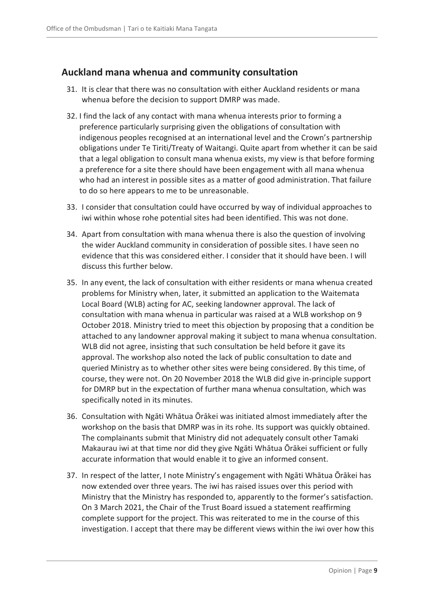### <span id="page-8-0"></span>**Auckland mana whenua and community consultation**

- 31. It is clear that there was no consultation with either Auckland residents or mana whenua before the decision to support DMRP was made.
- 32. I find the lack of any contact with mana whenua interests prior to forming a preference particularly surprising given the obligations of consultation with indigenous peoples recognised at an international level and the Crown's partnership obligations under Te Tiriti/Treaty of Waitangi. Quite apart from whether it can be said that a legal obligation to consult mana whenua exists, my view is that before forming a preference for a site there should have been engagement with all mana whenua who had an interest in possible sites as a matter of good administration. That failure to do so here appears to me to be unreasonable.
- 33. I consider that consultation could have occurred by way of individual approaches to iwi within whose rohe potential sites had been identified. This was not done.
- 34. Apart from consultation with mana whenua there is also the question of involving the wider Auckland community in consideration of possible sites. I have seen no evidence that this was considered either. I consider that it should have been. I will discuss this further below.
- 35. In any event, the lack of consultation with either residents or mana whenua created problems for Ministry when, later, it submitted an application to the Waitemata Local Board (WLB) acting for AC, seeking landowner approval. The lack of consultation with mana whenua in particular was raised at a WLB workshop on 9 October 2018. Ministry tried to meet this objection by proposing that a condition be attached to any landowner approval making it subject to mana whenua consultation. WLB did not agree, insisting that such consultation be held before it gave its approval. The workshop also noted the lack of public consultation to date and queried Ministry as to whether other sites were being considered. By this time, of course, they were not. On 20 November 2018 the WLB did give in-principle support for DMRP but in the expectation of further mana whenua consultation, which was specifically noted in its minutes.
- 36. Consultation with Ngāti Whātua Ōrākei was initiated almost immediately after the workshop on the basis that DMRP was in its rohe. Its support was quickly obtained. The complainants submit that Ministry did not adequately consult other Tamaki Makaurau iwi at that time nor did they give Ngāti Whātua Ōrākei sufficient or fully accurate information that would enable it to give an informed consent.
- 37. In respect of the latter, I note Ministry's engagement with Ngāti Whātua Ōrākei has now extended over three years. The iwi has raised issues over this period with Ministry that the Ministry has responded to, apparently to the former's satisfaction. On 3 March 2021, the Chair of the Trust Board issued a statement reaffirming complete support for the project. This was reiterated to me in the course of this investigation. I accept that there may be different views within the iwi over how this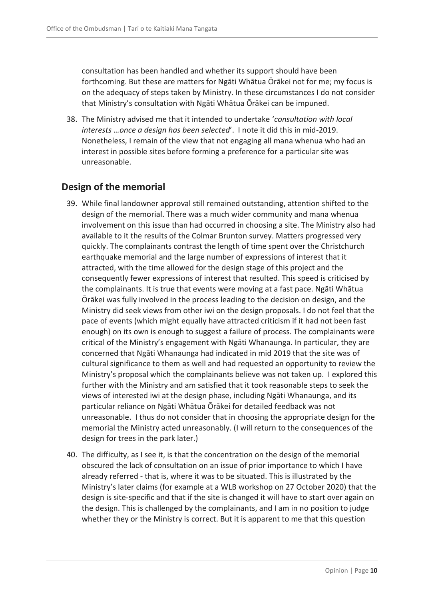consultation has been handled and whether its support should have been forthcoming. But these are matters for Ngāti Whātua Ōrākei not for me; my focus is on the adequacy of steps taken by Ministry. In these circumstances I do not consider that Ministry's consultation with Ngāti Whātua Ōrākei can be impuned.

38. The Ministry advised me that it intended to undertake '*consultation with local interests …once a design has been selected*'. I note it did this in mid-2019. Nonetheless, I remain of the view that not engaging all mana whenua who had an interest in possible sites before forming a preference for a particular site was unreasonable.

### <span id="page-9-0"></span>**Design of the memorial**

- 39. While final landowner approval still remained outstanding, attention shifted to the design of the memorial. There was a much wider community and mana whenua involvement on this issue than had occurred in choosing a site. The Ministry also had available to it the results of the Colmar Brunton survey. Matters progressed very quickly. The complainants contrast the length of time spent over the Christchurch earthquake memorial and the large number of expressions of interest that it attracted, with the time allowed for the design stage of this project and the consequently fewer expressions of interest that resulted. This speed is criticised by the complainants. It is true that events were moving at a fast pace. Ngāti Whātua Ōrākei was fully involved in the process leading to the decision on design, and the Ministry did seek views from other iwi on the design proposals. I do not feel that the pace of events (which might equally have attracted criticism if it had not been fast enough) on its own is enough to suggest a failure of process. The complainants were critical of the Ministry's engagement with Ngāti Whanaunga. In particular, they are concerned that Ngāti Whanaunga had indicated in mid 2019 that the site was of cultural significance to them as well and had requested an opportunity to review the Ministry's proposal which the complainants believe was not taken up. I explored this further with the Ministry and am satisfied that it took reasonable steps to seek the views of interested iwi at the design phase, including Ngāti Whanaunga, and its particular reliance on Ngāti Whātua Ōrākei for detailed feedback was not unreasonable. I thus do not consider that in choosing the appropriate design for the memorial the Ministry acted unreasonably. (I will return to the consequences of the design for trees in the park later.)
- 40. The difficulty, as I see it, is that the concentration on the design of the memorial obscured the lack of consultation on an issue of prior importance to which I have already referred - that is, where it was to be situated. This is illustrated by the Ministry's later claims (for example at a WLB workshop on 27 October 2020) that the design is site-specific and that if the site is changed it will have to start over again on the design. This is challenged by the complainants, and I am in no position to judge whether they or the Ministry is correct. But it is apparent to me that this question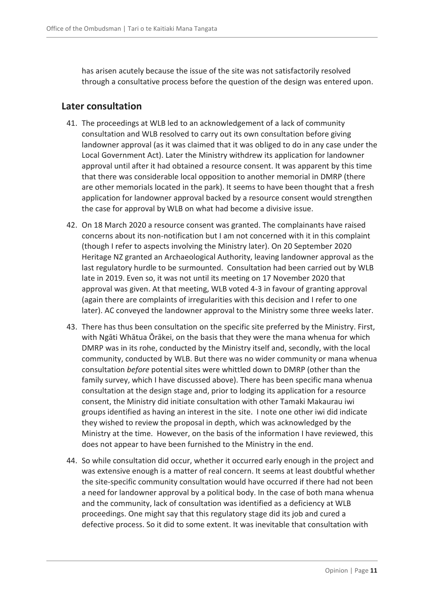has arisen acutely because the issue of the site was not satisfactorily resolved through a consultative process before the question of the design was entered upon.

### <span id="page-10-0"></span>**Later consultation**

- 41. The proceedings at WLB led to an acknowledgement of a lack of community consultation and WLB resolved to carry out its own consultation before giving landowner approval (as it was claimed that it was obliged to do in any case under the Local Government Act). Later the Ministry withdrew its application for landowner approval until after it had obtained a resource consent. It was apparent by this time that there was considerable local opposition to another memorial in DMRP (there are other memorials located in the park). It seems to have been thought that a fresh application for landowner approval backed by a resource consent would strengthen the case for approval by WLB on what had become a divisive issue.
- 42. On 18 March 2020 a resource consent was granted. The complainants have raised concerns about its non-notification but I am not concerned with it in this complaint (though I refer to aspects involving the Ministry later). On 20 September 2020 Heritage NZ granted an Archaeological Authority, leaving landowner approval as the last regulatory hurdle to be surmounted. Consultation had been carried out by WLB late in 2019. Even so, it was not until its meeting on 17 November 2020 that approval was given. At that meeting, WLB voted 4-3 in favour of granting approval (again there are complaints of irregularities with this decision and I refer to one later). AC conveyed the landowner approval to the Ministry some three weeks later.
- 43. There has thus been consultation on the specific site preferred by the Ministry. First, with Ngāti Whātua Ōrākei, on the basis that they were the mana whenua for which DMRP was in its rohe, conducted by the Ministry itself and, secondly, with the local community, conducted by WLB. But there was no wider community or mana whenua consultation *before* potential sites were whittled down to DMRP (other than the family survey, which I have discussed above). There has been specific mana whenua consultation at the design stage and, prior to lodging its application for a resource consent, the Ministry did initiate consultation with other Tamaki Makaurau iwi groups identified as having an interest in the site. I note one other iwi did indicate they wished to review the proposal in depth, which was acknowledged by the Ministry at the time. However, on the basis of the information I have reviewed, this does not appear to have been furnished to the Ministry in the end.
- 44. So while consultation did occur, whether it occurred early enough in the project and was extensive enough is a matter of real concern. It seems at least doubtful whether the site-specific community consultation would have occurred if there had not been a need for landowner approval by a political body. In the case of both mana whenua and the community, lack of consultation was identified as a deficiency at WLB proceedings. One might say that this regulatory stage did its job and cured a defective process. So it did to some extent. It was inevitable that consultation with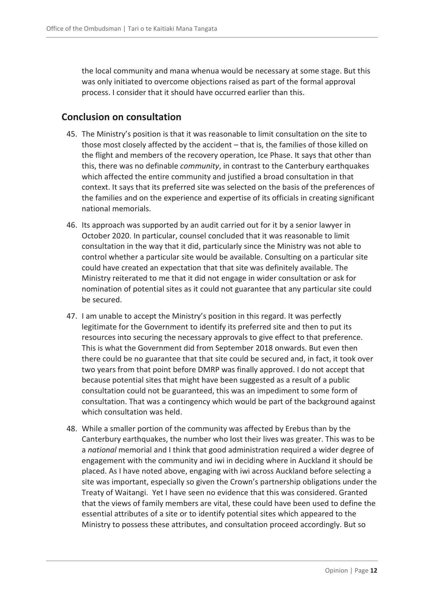the local community and mana whenua would be necessary at some stage. But this was only initiated to overcome objections raised as part of the formal approval process. I consider that it should have occurred earlier than this.

### <span id="page-11-0"></span>**Conclusion on consultation**

- 45. The Ministry's position is that it was reasonable to limit consultation on the site to those most closely affected by the accident – that is, the families of those killed on the flight and members of the recovery operation, Ice Phase. It says that other than this, there was no definable *community*, in contrast to the Canterbury earthquakes which affected the entire community and justified a broad consultation in that context. It says that its preferred site was selected on the basis of the preferences of the families and on the experience and expertise of its officials in creating significant national memorials.
- 46. Its approach was supported by an audit carried out for it by a senior lawyer in October 2020. In particular, counsel concluded that it was reasonable to limit consultation in the way that it did, particularly since the Ministry was not able to control whether a particular site would be available. Consulting on a particular site could have created an expectation that that site was definitely available. The Ministry reiterated to me that it did not engage in wider consultation or ask for nomination of potential sites as it could not guarantee that any particular site could be secured.
- 47. I am unable to accept the Ministry's position in this regard. It was perfectly legitimate for the Government to identify its preferred site and then to put its resources into securing the necessary approvals to give effect to that preference. This is what the Government did from September 2018 onwards. But even then there could be no guarantee that that site could be secured and, in fact, it took over two years from that point before DMRP was finally approved. I do not accept that because potential sites that might have been suggested as a result of a public consultation could not be guaranteed, this was an impediment to some form of consultation. That was a contingency which would be part of the background against which consultation was held.
- 48. While a smaller portion of the community was affected by Erebus than by the Canterbury earthquakes, the number who lost their lives was greater. This was to be a *national* memorial and I think that good administration required a wider degree of engagement with the community and iwi in deciding where in Auckland it should be placed. As I have noted above, engaging with iwi across Auckland before selecting a site was important, especially so given the Crown's partnership obligations under the Treaty of Waitangi. Yet I have seen no evidence that this was considered. Granted that the views of family members are vital, these could have been used to define the essential attributes of a site or to identify potential sites which appeared to the Ministry to possess these attributes, and consultation proceed accordingly. But so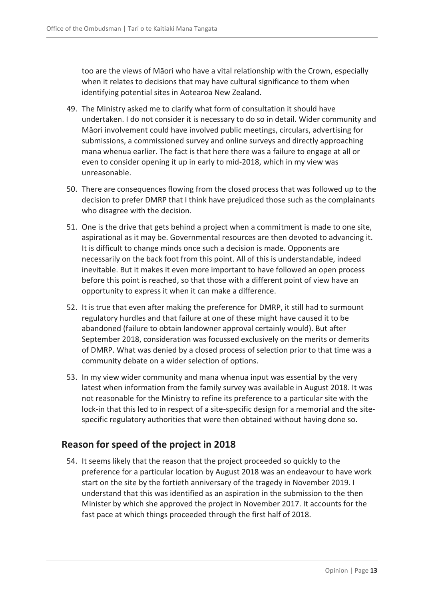too are the views of Māori who have a vital relationship with the Crown, especially when it relates to decisions that may have cultural significance to them when identifying potential sites in Aotearoa New Zealand.

- 49. The Ministry asked me to clarify what form of consultation it should have undertaken. I do not consider it is necessary to do so in detail. Wider community and Māori involvement could have involved public meetings, circulars, advertising for submissions, a commissioned survey and online surveys and directly approaching mana whenua earlier. The fact is that here there was a failure to engage at all or even to consider opening it up in early to mid-2018, which in my view was unreasonable.
- 50. There are consequences flowing from the closed process that was followed up to the decision to prefer DMRP that I think have prejudiced those such as the complainants who disagree with the decision.
- 51. One is the drive that gets behind a project when a commitment is made to one site, aspirational as it may be. Governmental resources are then devoted to advancing it. It is difficult to change minds once such a decision is made. Opponents are necessarily on the back foot from this point. All of this is understandable, indeed inevitable. But it makes it even more important to have followed an open process before this point is reached, so that those with a different point of view have an opportunity to express it when it can make a difference.
- 52. It is true that even after making the preference for DMRP, it still had to surmount regulatory hurdles and that failure at one of these might have caused it to be abandoned (failure to obtain landowner approval certainly would). But after September 2018, consideration was focussed exclusively on the merits or demerits of DMRP. What was denied by a closed process of selection prior to that time was a community debate on a wider selection of options.
- 53. In my view wider community and mana whenua input was essential by the very latest when information from the family survey was available in August 2018. It was not reasonable for the Ministry to refine its preference to a particular site with the lock-in that this led to in respect of a site-specific design for a memorial and the sitespecific regulatory authorities that were then obtained without having done so.

### <span id="page-12-0"></span>**Reason for speed of the project in 2018**

54. It seems likely that the reason that the project proceeded so quickly to the preference for a particular location by August 2018 was an endeavour to have work start on the site by the fortieth anniversary of the tragedy in November 2019. I understand that this was identified as an aspiration in the submission to the then Minister by which she approved the project in November 2017. It accounts for the fast pace at which things proceeded through the first half of 2018.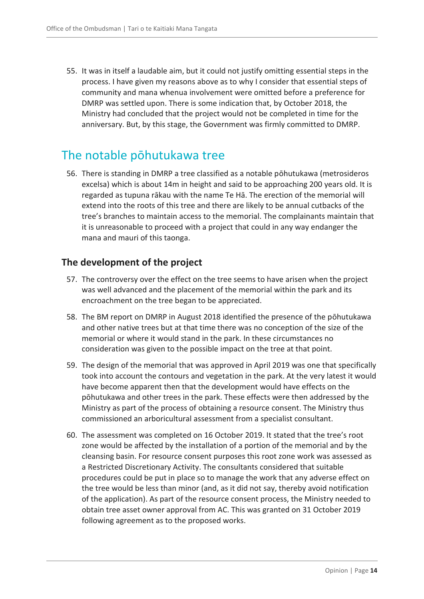55. It was in itself a laudable aim, but it could not justify omitting essential steps in the process. I have given my reasons above as to why I consider that essential steps of community and mana whenua involvement were omitted before a preference for DMRP was settled upon. There is some indication that, by October 2018, the Ministry had concluded that the project would not be completed in time for the anniversary. But, by this stage, the Government was firmly committed to DMRP.

### <span id="page-13-0"></span>The notable pōhutukawa tree

56. There is standing in DMRP a tree classified as a notable pōhutukawa (metrosideros excelsa) which is about 14m in height and said to be approaching 200 years old. It is regarded as tupuna rākau with the name Te Hā. The erection of the memorial will extend into the roots of this tree and there are likely to be annual cutbacks of the tree's branches to maintain access to the memorial. The complainants maintain that it is unreasonable to proceed with a project that could in any way endanger the mana and mauri of this taonga.

### <span id="page-13-1"></span>**The development of the project**

- 57. The controversy over the effect on the tree seems to have arisen when the project was well advanced and the placement of the memorial within the park and its encroachment on the tree began to be appreciated.
- 58. The BM report on DMRP in August 2018 identified the presence of the pōhutukawa and other native trees but at that time there was no conception of the size of the memorial or where it would stand in the park. In these circumstances no consideration was given to the possible impact on the tree at that point.
- 59. The design of the memorial that was approved in April 2019 was one that specifically took into account the contours and vegetation in the park. At the very latest it would have become apparent then that the development would have effects on the pōhutukawa and other trees in the park. These effects were then addressed by the Ministry as part of the process of obtaining a resource consent. The Ministry thus commissioned an arboricultural assessment from a specialist consultant.
- 60. The assessment was completed on 16 October 2019. It stated that the tree's root zone would be affected by the installation of a portion of the memorial and by the cleansing basin. For resource consent purposes this root zone work was assessed as a Restricted Discretionary Activity. The consultants considered that suitable procedures could be put in place so to manage the work that any adverse effect on the tree would be less than minor (and, as it did not say, thereby avoid notification of the application). As part of the resource consent process, the Ministry needed to obtain tree asset owner approval from AC. This was granted on 31 October 2019 following agreement as to the proposed works.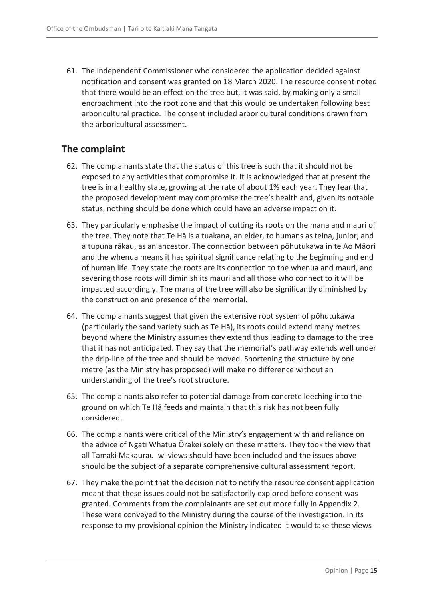61. The Independent Commissioner who considered the application decided against notification and consent was granted on 18 March 2020. The resource consent noted that there would be an effect on the tree but, it was said, by making only a small encroachment into the root zone and that this would be undertaken following best arboricultural practice. The consent included arboricultural conditions drawn from the arboricultural assessment.

### <span id="page-14-0"></span>**The complaint**

- 62. The complainants state that the status of this tree is such that it should not be exposed to any activities that compromise it. It is acknowledged that at present the tree is in a healthy state, growing at the rate of about 1% each year. They fear that the proposed development may compromise the tree's health and, given its notable status, nothing should be done which could have an adverse impact on it.
- 63. They particularly emphasise the impact of cutting its roots on the mana and mauri of the tree. They note that Te Hā is a tuakana, an elder, to humans as teina, junior, and a tupuna rākau, as an ancestor. The connection between pōhutukawa in te Ao Māori and the whenua means it has spiritual significance relating to the beginning and end of human life. They state the roots are its connection to the whenua and mauri, and severing those roots will diminish its mauri and all those who connect to it will be impacted accordingly. The mana of the tree will also be significantly diminished by the construction and presence of the memorial.
- 64. The complainants suggest that given the extensive root system of pōhutukawa (particularly the sand variety such as Te Hā), its roots could extend many metres beyond where the Ministry assumes they extend thus leading to damage to the tree that it has not anticipated. They say that the memorial's pathway extends well under the drip-line of the tree and should be moved. Shortening the structure by one metre (as the Ministry has proposed) will make no difference without an understanding of the tree's root structure.
- 65. The complainants also refer to potential damage from concrete leeching into the ground on which Te Hā feeds and maintain that this risk has not been fully considered.
- 66. The complainants were critical of the Ministry's engagement with and reliance on the advice of Ngāti Whātua Ōrākei solely on these matters. They took the view that all Tamaki Makaurau iwi views should have been included and the issues above should be the subject of a separate comprehensive cultural assessment report.
- 67. They make the point that the decision not to notify the resource consent application meant that these issues could not be satisfactorily explored before consent was granted. Comments from the complainants are set out more fully in Appendix 2. These were conveyed to the Ministry during the course of the investigation. In its response to my provisional opinion the Ministry indicated it would take these views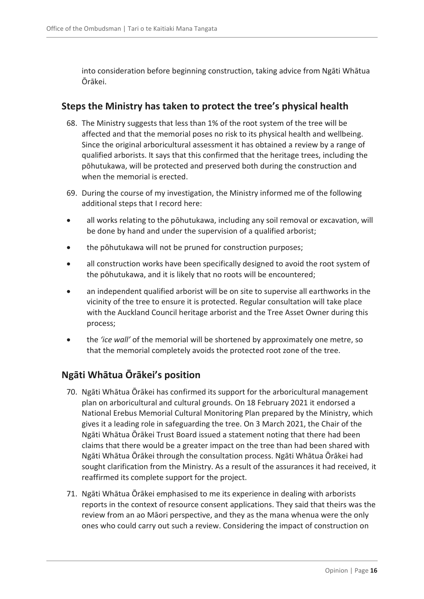into consideration before beginning construction, taking advice from Ngāti Whātua Ōrākei.

### <span id="page-15-0"></span>**Steps the Ministry has taken to protect the tree's physical health**

- 68. The Ministry suggests that less than 1% of the root system of the tree will be affected and that the memorial poses no risk to its physical health and wellbeing. Since the original arboricultural assessment it has obtained a review by a range of qualified arborists. It says that this confirmed that the heritage trees, including the pōhutukawa, will be protected and preserved both during the construction and when the memorial is erected.
- 69. During the course of my investigation, the Ministry informed me of the following additional steps that I record here:
- all works relating to the pōhutukawa, including any soil removal or excavation, will be done by hand and under the supervision of a qualified arborist;
- the pōhutukawa will not be pruned for construction purposes;
- all construction works have been specifically designed to avoid the root system of the pōhutukawa, and it is likely that no roots will be encountered;
- an independent qualified arborist will be on site to supervise all earthworks in the vicinity of the tree to ensure it is protected. Regular consultation will take place with the Auckland Council heritage arborist and the Tree Asset Owner during this process;
- the *'ice wall'* of the memorial will be shortened by approximately one metre, so that the memorial completely avoids the protected root zone of the tree.

### <span id="page-15-1"></span>**Ngāti Whātua Ōrākei's position**

- 70. Ngāti Whātua Ōrākei has confirmed its support for the arboricultural management plan on arboricultural and cultural grounds. On 18 February 2021 it endorsed a National Erebus Memorial Cultural Monitoring Plan prepared by the Ministry, which gives it a leading role in safeguarding the tree. On 3 March 2021, the Chair of the Ngāti Whātua Ōrākei Trust Board issued a statement noting that there had been claims that there would be a greater impact on the tree than had been shared with Ngāti Whātua Ōrākei through the consultation process. Ngāti Whātua Ōrākei had sought clarification from the Ministry. As a result of the assurances it had received, it reaffirmed its complete support for the project.
- 71. Ngāti Whātua Ōrākei emphasised to me its experience in dealing with arborists reports in the context of resource consent applications. They said that theirs was the review from an ao Māori perspective, and they as the mana whenua were the only ones who could carry out such a review. Considering the impact of construction on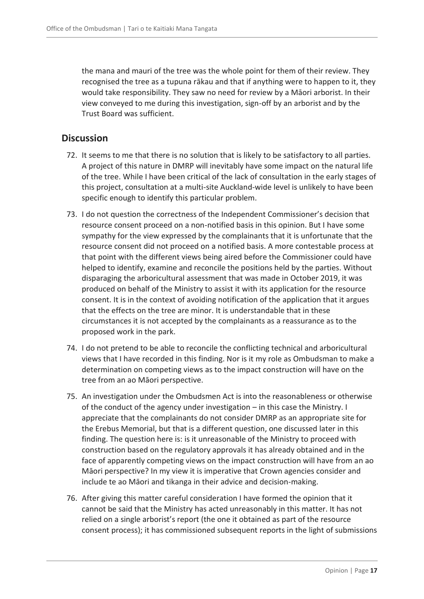the mana and mauri of the tree was the whole point for them of their review. They recognised the tree as a tupuna rākau and that if anything were to happen to it, they would take responsibility. They saw no need for review by a Māori arborist. In their view conveyed to me during this investigation, sign-off by an arborist and by the Trust Board was sufficient.

### <span id="page-16-0"></span>**Discussion**

- 72. It seems to me that there is no solution that is likely to be satisfactory to all parties. A project of this nature in DMRP will inevitably have some impact on the natural life of the tree. While I have been critical of the lack of consultation in the early stages of this project, consultation at a multi-site Auckland-wide level is unlikely to have been specific enough to identify this particular problem.
- 73. I do not question the correctness of the Independent Commissioner's decision that resource consent proceed on a non-notified basis in this opinion. But I have some sympathy for the view expressed by the complainants that it is unfortunate that the resource consent did not proceed on a notified basis. A more contestable process at that point with the different views being aired before the Commissioner could have helped to identify, examine and reconcile the positions held by the parties. Without disparaging the arboricultural assessment that was made in October 2019, it was produced on behalf of the Ministry to assist it with its application for the resource consent. It is in the context of avoiding notification of the application that it argues that the effects on the tree are minor. It is understandable that in these circumstances it is not accepted by the complainants as a reassurance as to the proposed work in the park.
- 74. I do not pretend to be able to reconcile the conflicting technical and arboricultural views that I have recorded in this finding. Nor is it my role as Ombudsman to make a determination on competing views as to the impact construction will have on the tree from an ao Māori perspective.
- 75. An investigation under the Ombudsmen Act is into the reasonableness or otherwise of the conduct of the agency under investigation – in this case the Ministry. I appreciate that the complainants do not consider DMRP as an appropriate site for the Erebus Memorial, but that is a different question, one discussed later in this finding. The question here is: is it unreasonable of the Ministry to proceed with construction based on the regulatory approvals it has already obtained and in the face of apparently competing views on the impact construction will have from an ao Māori perspective? In my view it is imperative that Crown agencies consider and include te ao Māori and tikanga in their advice and decision-making.
- 76. After giving this matter careful consideration I have formed the opinion that it cannot be said that the Ministry has acted unreasonably in this matter. It has not relied on a single arborist's report (the one it obtained as part of the resource consent process); it has commissioned subsequent reports in the light of submissions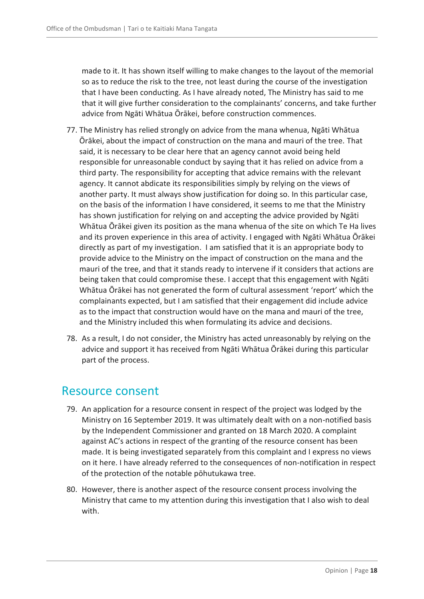made to it. It has shown itself willing to make changes to the layout of the memorial so as to reduce the risk to the tree, not least during the course of the investigation that I have been conducting. As I have already noted, The Ministry has said to me that it will give further consideration to the complainants' concerns, and take further advice from Ngāti Whātua Ōrākei, before construction commences.

- 77. The Ministry has relied strongly on advice from the mana whenua, Ngāti Whātua Ōrākei, about the impact of construction on the mana and mauri of the tree. That said, it is necessary to be clear here that an agency cannot avoid being held responsible for unreasonable conduct by saying that it has relied on advice from a third party. The responsibility for accepting that advice remains with the relevant agency. It cannot abdicate its responsibilities simply by relying on the views of another party. It must always show justification for doing so. In this particular case, on the basis of the information I have considered, it seems to me that the Ministry has shown justification for relying on and accepting the advice provided by Ngāti Whātua Ōrākei given its position as the mana whenua of the site on which Te Ha lives and its proven experience in this area of activity. I engaged with Ngāti Whātua Ōrākei directly as part of my investigation. I am satisfied that it is an appropriate body to provide advice to the Ministry on the impact of construction on the mana and the mauri of the tree, and that it stands ready to intervene if it considers that actions are being taken that could compromise these. I accept that this engagement with Ngāti Whātua Ōrākei has not generated the form of cultural assessment 'report' which the complainants expected, but I am satisfied that their engagement did include advice as to the impact that construction would have on the mana and mauri of the tree, and the Ministry included this when formulating its advice and decisions.
- 78. As a result, I do not consider, the Ministry has acted unreasonably by relying on the advice and support it has received from Ngāti Whātua Ōrākei during this particular part of the process.

### <span id="page-17-0"></span>Resource consent

- 79. An application for a resource consent in respect of the project was lodged by the Ministry on 16 September 2019. It was ultimately dealt with on a non-notified basis by the Independent Commissioner and granted on 18 March 2020. A complaint against AC's actions in respect of the granting of the resource consent has been made. It is being investigated separately from this complaint and I express no views on it here. I have already referred to the consequences of non-notification in respect of the protection of the notable pōhutukawa tree.
- 80. However, there is another aspect of the resource consent process involving the Ministry that came to my attention during this investigation that I also wish to deal with.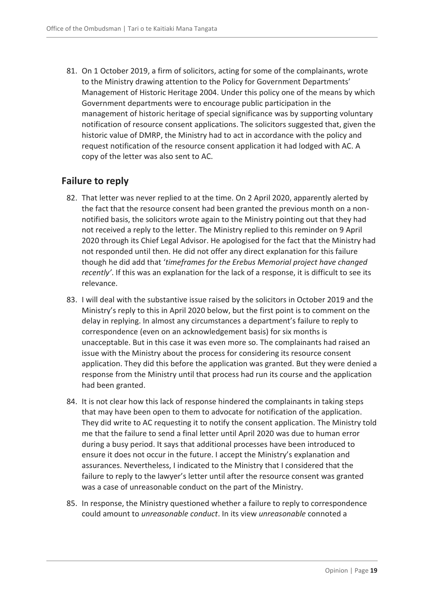81. On 1 October 2019, a firm of solicitors, acting for some of the complainants, wrote to the Ministry drawing attention to the Policy for Government Departments' Management of Historic Heritage 2004. Under this policy one of the means by which Government departments were to encourage public participation in the management of historic heritage of special significance was by supporting voluntary notification of resource consent applications. The solicitors suggested that, given the historic value of DMRP, the Ministry had to act in accordance with the policy and request notification of the resource consent application it had lodged with AC. A copy of the letter was also sent to AC.

### <span id="page-18-0"></span>**Failure to reply**

- 82. That letter was never replied to at the time. On 2 April 2020, apparently alerted by the fact that the resource consent had been granted the previous month on a nonnotified basis, the solicitors wrote again to the Ministry pointing out that they had not received a reply to the letter. The Ministry replied to this reminder on 9 April 2020 through its Chief Legal Advisor. He apologised for the fact that the Ministry had not responded until then. He did not offer any direct explanation for this failure though he did add that '*timeframes for the Erebus Memorial project have changed recently'*. If this was an explanation for the lack of a response, it is difficult to see its relevance.
- 83. I will deal with the substantive issue raised by the solicitors in October 2019 and the Ministry's reply to this in April 2020 below, but the first point is to comment on the delay in replying. In almost any circumstances a department's failure to reply to correspondence (even on an acknowledgement basis) for six months is unacceptable. But in this case it was even more so. The complainants had raised an issue with the Ministry about the process for considering its resource consent application. They did this before the application was granted. But they were denied a response from the Ministry until that process had run its course and the application had been granted.
- 84. It is not clear how this lack of response hindered the complainants in taking steps that may have been open to them to advocate for notification of the application. They did write to AC requesting it to notify the consent application. The Ministry told me that the failure to send a final letter until April 2020 was due to human error during a busy period. It says that additional processes have been introduced to ensure it does not occur in the future. I accept the Ministry's explanation and assurances. Nevertheless, I indicated to the Ministry that I considered that the failure to reply to the lawyer's letter until after the resource consent was granted was a case of unreasonable conduct on the part of the Ministry.
- 85. In response, the Ministry questioned whether a failure to reply to correspondence could amount to *unreasonable conduct*. In its view *unreasonable* connoted a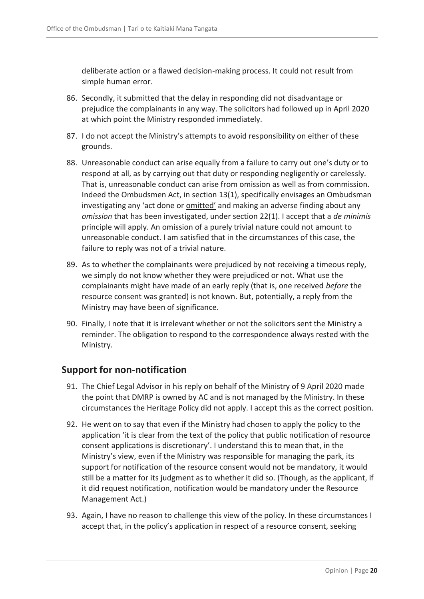deliberate action or a flawed decision-making process. It could not result from simple human error.

- 86. Secondly, it submitted that the delay in responding did not disadvantage or prejudice the complainants in any way. The solicitors had followed up in April 2020 at which point the Ministry responded immediately.
- 87. I do not accept the Ministry's attempts to avoid responsibility on either of these grounds.
- 88. Unreasonable conduct can arise equally from a failure to carry out one's duty or to respond at all, as by carrying out that duty or responding negligently or carelessly. That is, unreasonable conduct can arise from omission as well as from commission. Indeed the Ombudsmen Act, in section 13(1), specifically envisages an Ombudsman investigating any 'act done or **omitted'** and making an adverse finding about any *omission* that has been investigated, under section 22(1). I accept that a *de minimis* principle will apply. An omission of a purely trivial nature could not amount to unreasonable conduct. I am satisfied that in the circumstances of this case, the failure to reply was not of a trivial nature.
- 89. As to whether the complainants were prejudiced by not receiving a timeous reply, we simply do not know whether they were prejudiced or not. What use the complainants might have made of an early reply (that is, one received *before* the resource consent was granted) is not known. But, potentially, a reply from the Ministry may have been of significance.
- 90. Finally, I note that it is irrelevant whether or not the solicitors sent the Ministry a reminder. The obligation to respond to the correspondence always rested with the Ministry.

### <span id="page-19-0"></span>**Support for non-notification**

- 91. The Chief Legal Advisor in his reply on behalf of the Ministry of 9 April 2020 made the point that DMRP is owned by AC and is not managed by the Ministry. In these circumstances the Heritage Policy did not apply. I accept this as the correct position.
- 92. He went on to say that even if the Ministry had chosen to apply the policy to the application 'it is clear from the text of the policy that public notification of resource consent applications is discretionary'. I understand this to mean that, in the Ministry's view, even if the Ministry was responsible for managing the park, its support for notification of the resource consent would not be mandatory, it would still be a matter for its judgment as to whether it did so. (Though, as the applicant, if it did request notification, notification would be mandatory under the Resource Management Act.)
- 93. Again, I have no reason to challenge this view of the policy. In these circumstances I accept that, in the policy's application in respect of a resource consent, seeking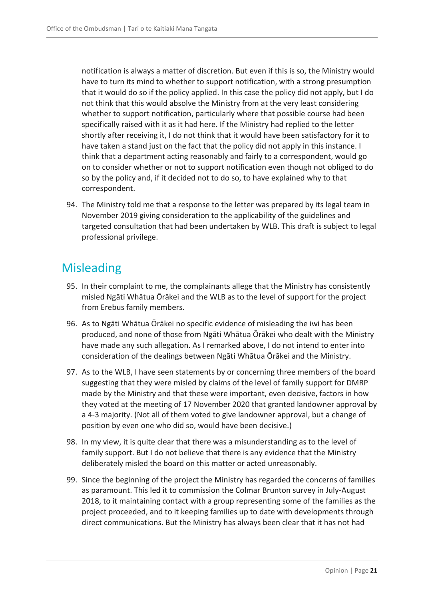notification is always a matter of discretion. But even if this is so, the Ministry would have to turn its mind to whether to support notification, with a strong presumption that it would do so if the policy applied. In this case the policy did not apply, but I do not think that this would absolve the Ministry from at the very least considering whether to support notification, particularly where that possible course had been specifically raised with it as it had here. If the Ministry had replied to the letter shortly after receiving it, I do not think that it would have been satisfactory for it to have taken a stand just on the fact that the policy did not apply in this instance. I think that a department acting reasonably and fairly to a correspondent, would go on to consider whether or not to support notification even though not obliged to do so by the policy and, if it decided not to do so, to have explained why to that correspondent.

94. The Ministry told me that a response to the letter was prepared by its legal team in November 2019 giving consideration to the applicability of the guidelines and targeted consultation that had been undertaken by WLB. This draft is subject to legal professional privilege.

### <span id="page-20-0"></span>**Misleading**

- 95. In their complaint to me, the complainants allege that the Ministry has consistently misled Ngāti Whātua Ōrākei and the WLB as to the level of support for the project from Erebus family members.
- 96. As to Ngāti Whātua Ōrākei no specific evidence of misleading the iwi has been produced, and none of those from Ngāti Whātua Ōrākei who dealt with the Ministry have made any such allegation. As I remarked above, I do not intend to enter into consideration of the dealings between Ngāti Whātua Ōrākei and the Ministry.
- 97. As to the WLB, I have seen statements by or concerning three members of the board suggesting that they were misled by claims of the level of family support for DMRP made by the Ministry and that these were important, even decisive, factors in how they voted at the meeting of 17 November 2020 that granted landowner approval by a 4-3 majority. (Not all of them voted to give landowner approval, but a change of position by even one who did so, would have been decisive.)
- 98. In my view, it is quite clear that there was a misunderstanding as to the level of family support. But I do not believe that there is any evidence that the Ministry deliberately misled the board on this matter or acted unreasonably.
- 99. Since the beginning of the project the Ministry has regarded the concerns of families as paramount. This led it to commission the Colmar Brunton survey in July-August 2018, to it maintaining contact with a group representing some of the families as the project proceeded, and to it keeping families up to date with developments through direct communications. But the Ministry has always been clear that it has not had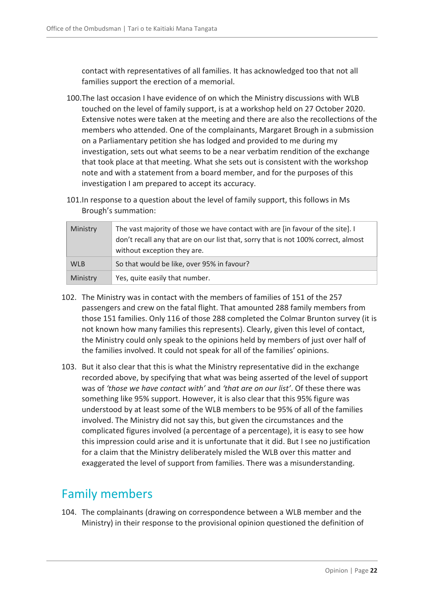contact with representatives of all families. It has acknowledged too that not all families support the erection of a memorial.

- 100.The last occasion I have evidence of on which the Ministry discussions with WLB touched on the level of family support, is at a workshop held on 27 October 2020. Extensive notes were taken at the meeting and there are also the recollections of the members who attended. One of the complainants, Margaret Brough in a submission on a Parliamentary petition she has lodged and provided to me during my investigation, sets out what seems to be a near verbatim rendition of the exchange that took place at that meeting. What she sets out is consistent with the workshop note and with a statement from a board member, and for the purposes of this investigation I am prepared to accept its accuracy.
- 101.In response to a question about the level of family support, this follows in Ms Brough's summation:

| Ministry   | The vast majority of those we have contact with are [in favour of the site]. I<br>don't recall any that are on our list that, sorry that is not 100% correct, almost<br>without exception they are. |
|------------|-----------------------------------------------------------------------------------------------------------------------------------------------------------------------------------------------------|
| <b>WLB</b> | So that would be like, over 95% in favour?                                                                                                                                                          |
| Ministry   | Yes, quite easily that number.                                                                                                                                                                      |

- 102. The Ministry was in contact with the members of families of 151 of the 257 passengers and crew on the fatal flight. That amounted 288 family members from those 151 families. Only 116 of those 288 completed the Colmar Brunton survey (it is not known how many families this represents). Clearly, given this level of contact, the Ministry could only speak to the opinions held by members of just over half of the families involved. It could not speak for all of the families' opinions.
- 103. But it also clear that this is what the Ministry representative did in the exchange recorded above, by specifying that what was being asserted of the level of support was of *'those we have contact with'* and *'that are on our list'*. Of these there was something like 95% support. However, it is also clear that this 95% figure was understood by at least some of the WLB members to be 95% of all of the families involved. The Ministry did not say this, but given the circumstances and the complicated figures involved (a percentage of a percentage), it is easy to see how this impression could arise and it is unfortunate that it did. But I see no justification for a claim that the Ministry deliberately misled the WLB over this matter and exaggerated the level of support from families. There was a misunderstanding.

### <span id="page-21-0"></span>Family members

104. The complainants (drawing on correspondence between a WLB member and the Ministry) in their response to the provisional opinion questioned the definition of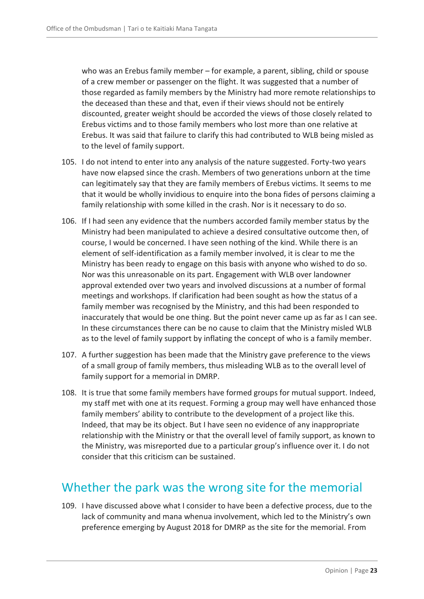who was an Erebus family member – for example, a parent, sibling, child or spouse of a crew member or passenger on the flight. It was suggested that a number of those regarded as family members by the Ministry had more remote relationships to the deceased than these and that, even if their views should not be entirely discounted, greater weight should be accorded the views of those closely related to Erebus victims and to those family members who lost more than one relative at Erebus. It was said that failure to clarify this had contributed to WLB being misled as to the level of family support.

- 105. I do not intend to enter into any analysis of the nature suggested. Forty-two years have now elapsed since the crash. Members of two generations unborn at the time can legitimately say that they are family members of Erebus victims. It seems to me that it would be wholly invidious to enquire into the bona fides of persons claiming a family relationship with some killed in the crash. Nor is it necessary to do so.
- 106. If I had seen any evidence that the numbers accorded family member status by the Ministry had been manipulated to achieve a desired consultative outcome then, of course, I would be concerned. I have seen nothing of the kind. While there is an element of self-identification as a family member involved, it is clear to me the Ministry has been ready to engage on this basis with anyone who wished to do so. Nor was this unreasonable on its part. Engagement with WLB over landowner approval extended over two years and involved discussions at a number of formal meetings and workshops. If clarification had been sought as how the status of a family member was recognised by the Ministry, and this had been responded to inaccurately that would be one thing. But the point never came up as far as I can see. In these circumstances there can be no cause to claim that the Ministry misled WLB as to the level of family support by inflating the concept of who is a family member.
- 107. A further suggestion has been made that the Ministry gave preference to the views of a small group of family members, thus misleading WLB as to the overall level of family support for a memorial in DMRP.
- 108. It is true that some family members have formed groups for mutual support. Indeed, my staff met with one at its request. Forming a group may well have enhanced those family members' ability to contribute to the development of a project like this. Indeed, that may be its object. But I have seen no evidence of any inappropriate relationship with the Ministry or that the overall level of family support, as known to the Ministry, was misreported due to a particular group's influence over it. I do not consider that this criticism can be sustained.

### <span id="page-22-0"></span>Whether the park was the wrong site for the memorial

109. I have discussed above what I consider to have been a defective process, due to the lack of community and mana whenua involvement, which led to the Ministry's own preference emerging by August 2018 for DMRP as the site for the memorial. From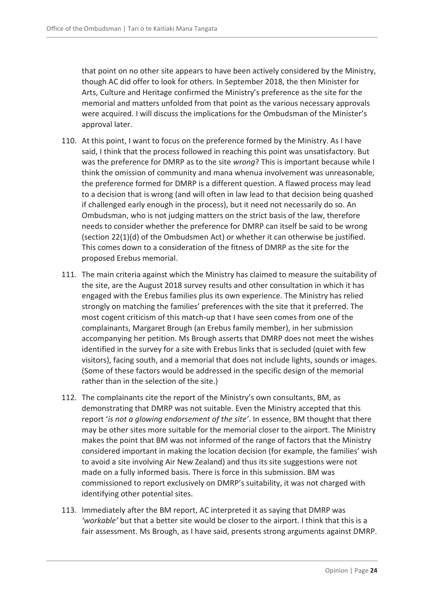that point on no other site appears to have been actively considered by the Ministry, though AC did offer to look for others. In September 2018, the then Minister for Arts, Culture and Heritage confirmed the Ministry's preference as the site for the memorial and matters unfolded from that point as the various necessary approvals were acquired. I will discuss the implications for the Ombudsman of the Minister's approval later.

- 110. At this point, I want to focus on the preference formed by the Ministry. As I have said, I think that the process followed in reaching this point was unsatisfactory. But was the preference for DMRP as to the site *wrong*? This is important because while I think the omission of community and mana whenua involvement was unreasonable, the preference formed for DMRP is a different question. A flawed process may lead to a decision that is wrong (and will often in law lead to that decision being quashed if challenged early enough in the process), but it need not necessarily do so. An Ombudsman, who is not judging matters on the strict basis of the law, therefore needs to consider whether the preference for DMRP can itself be said to be wrong (section 22(1)(d) of the Ombudsmen Act) or whether it can otherwise be justified. This comes down to a consideration of the fitness of DMRP as the site for the proposed Erebus memorial.
- 111. The main criteria against which the Ministry has claimed to measure the suitability of the site, are the August 2018 survey results and other consultation in which it has engaged with the Erebus families plus its own experience. The Ministry has relied strongly on matching the families' preferences with the site that it preferred. The most cogent criticism of this match-up that I have seen comes from one of the complainants, Margaret Brough (an Erebus family member), in her submission accompanying her petition. Ms Brough asserts that DMRP does not meet the wishes identified in the survey for a site with Erebus links that is secluded (quiet with few visitors), facing south, and a memorial that does not include lights, sounds or images. (Some of these factors would be addressed in the specific design of the memorial rather than in the selection of the site.)
- 112. The complainants cite the report of the Ministry's own consultants, BM, as demonstrating that DMRP was not suitable. Even the Ministry accepted that this report '*is not a glowing endorsement of the site'*. In essence, BM thought that there may be other sites more suitable for the memorial closer to the airport. The Ministry makes the point that BM was not informed of the range of factors that the Ministry considered important in making the location decision (for example, the families' wish to avoid a site involving Air New Zealand) and thus its site suggestions were not made on a fully informed basis. There is force in this submission. BM was commissioned to report exclusively on DMRP's suitability, it was not charged with identifying other potential sites.
- 113. Immediately after the BM report, AC interpreted it as saying that DMRP was *'workable'* but that a better site would be closer to the airport. I think that this is a fair assessment. Ms Brough, as I have said, presents strong arguments against DMRP.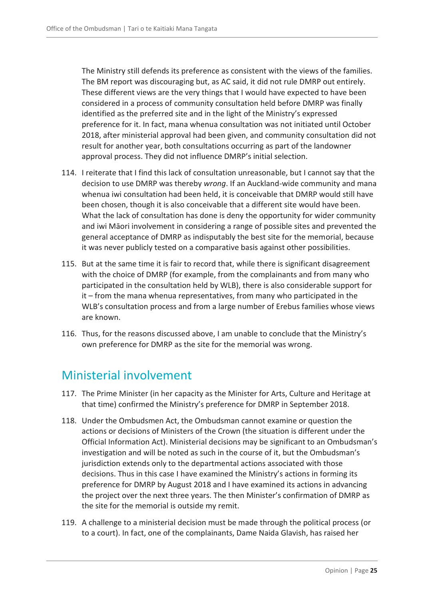The Ministry still defends its preference as consistent with the views of the families. The BM report was discouraging but, as AC said, it did not rule DMRP out entirely. These different views are the very things that I would have expected to have been considered in a process of community consultation held before DMRP was finally identified as the preferred site and in the light of the Ministry's expressed preference for it. In fact, mana whenua consultation was not initiated until October 2018, after ministerial approval had been given, and community consultation did not result for another year, both consultations occurring as part of the landowner approval process. They did not influence DMRP's initial selection.

- 114. I reiterate that I find this lack of consultation unreasonable, but I cannot say that the decision to use DMRP was thereby *wrong*. If an Auckland-wide community and mana whenua iwi consultation had been held, it is conceivable that DMRP would still have been chosen, though it is also conceivable that a different site would have been. What the lack of consultation has done is deny the opportunity for wider community and iwi Māori involvement in considering a range of possible sites and prevented the general acceptance of DMRP as indisputably the best site for the memorial, because it was never publicly tested on a comparative basis against other possibilities.
- 115. But at the same time it is fair to record that, while there is significant disagreement with the choice of DMRP (for example, from the complainants and from many who participated in the consultation held by WLB), there is also considerable support for it – from the mana whenua representatives, from many who participated in the WLB's consultation process and from a large number of Erebus families whose views are known.
- 116. Thus, for the reasons discussed above, I am unable to conclude that the Ministry's own preference for DMRP as the site for the memorial was wrong.

### <span id="page-24-0"></span>Ministerial involvement

- 117. The Prime Minister (in her capacity as the Minister for Arts, Culture and Heritage at that time) confirmed the Ministry's preference for DMRP in September 2018.
- 118. Under the Ombudsmen Act, the Ombudsman cannot examine or question the actions or decisions of Ministers of the Crown (the situation is different under the Official Information Act). Ministerial decisions may be significant to an Ombudsman's investigation and will be noted as such in the course of it, but the Ombudsman's jurisdiction extends only to the departmental actions associated with those decisions. Thus in this case I have examined the Ministry's actions in forming its preference for DMRP by August 2018 and I have examined its actions in advancing the project over the next three years. The then Minister's confirmation of DMRP as the site for the memorial is outside my remit.
- 119. A challenge to a ministerial decision must be made through the political process (or to a court). In fact, one of the complainants, Dame Naida Glavish, has raised her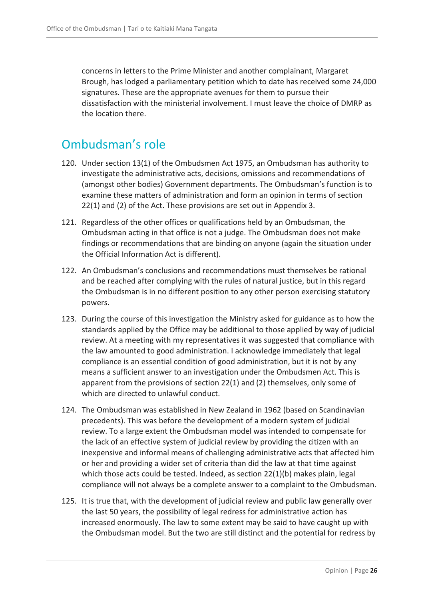concerns in letters to the Prime Minister and another complainant, Margaret Brough, has lodged a parliamentary petition which to date has received some 24,000 signatures. These are the appropriate avenues for them to pursue their dissatisfaction with the ministerial involvement. I must leave the choice of DMRP as the location there.

### <span id="page-25-0"></span>Ombudsman's role

- 120. Under section 13(1) of the Ombudsmen Act 1975, an Ombudsman has authority to investigate the administrative acts, decisions, omissions and recommendations of (amongst other bodies) Government departments. The Ombudsman's function is to examine these matters of administration and form an opinion in terms of section 22(1) and (2) of the Act. These provisions are set out in Appendix 3.
- 121. Regardless of the other offices or qualifications held by an Ombudsman, the Ombudsman acting in that office is not a judge. The Ombudsman does not make findings or recommendations that are binding on anyone (again the situation under the Official Information Act is different).
- 122. An Ombudsman's conclusions and recommendations must themselves be rational and be reached after complying with the rules of natural justice, but in this regard the Ombudsman is in no different position to any other person exercising statutory powers.
- 123. During the course of this investigation the Ministry asked for guidance as to how the standards applied by the Office may be additional to those applied by way of judicial review. At a meeting with my representatives it was suggested that compliance with the law amounted to good administration. I acknowledge immediately that legal compliance is an essential condition of good administration, but it is not by any means a sufficient answer to an investigation under the Ombudsmen Act. This is apparent from the provisions of section 22(1) and (2) themselves, only some of which are directed to unlawful conduct.
- 124. The Ombudsman was established in New Zealand in 1962 (based on Scandinavian precedents). This was before the development of a modern system of judicial review. To a large extent the Ombudsman model was intended to compensate for the lack of an effective system of judicial review by providing the citizen with an inexpensive and informal means of challenging administrative acts that affected him or her and providing a wider set of criteria than did the law at that time against which those acts could be tested. Indeed, as section 22(1)(b) makes plain, legal compliance will not always be a complete answer to a complaint to the Ombudsman.
- 125. It is true that, with the development of judicial review and public law generally over the last 50 years, the possibility of legal redress for administrative action has increased enormously. The law to some extent may be said to have caught up with the Ombudsman model. But the two are still distinct and the potential for redress by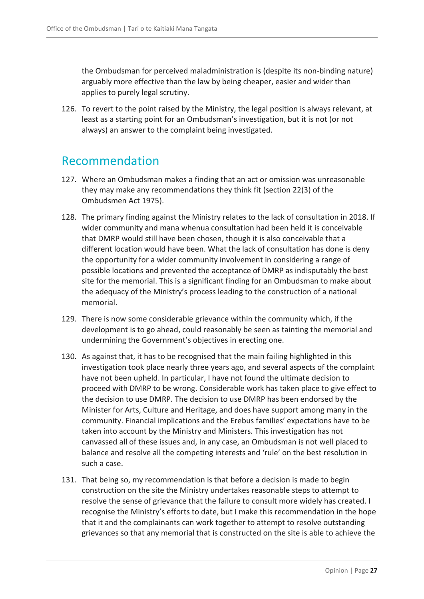the Ombudsman for perceived maladministration is (despite its non-binding nature) arguably more effective than the law by being cheaper, easier and wider than applies to purely legal scrutiny.

126. To revert to the point raised by the Ministry, the legal position is always relevant, at least as a starting point for an Ombudsman's investigation, but it is not (or not always) an answer to the complaint being investigated.

### <span id="page-26-0"></span>Recommendation

- 127. Where an Ombudsman makes a finding that an act or omission was unreasonable they may make any recommendations they think fit (section 22(3) of the Ombudsmen Act 1975).
- 128. The primary finding against the Ministry relates to the lack of consultation in 2018. If wider community and mana whenua consultation had been held it is conceivable that DMRP would still have been chosen, though it is also conceivable that a different location would have been. What the lack of consultation has done is deny the opportunity for a wider community involvement in considering a range of possible locations and prevented the acceptance of DMRP as indisputably the best site for the memorial. This is a significant finding for an Ombudsman to make about the adequacy of the Ministry's process leading to the construction of a national memorial.
- 129. There is now some considerable grievance within the community which, if the development is to go ahead, could reasonably be seen as tainting the memorial and undermining the Government's objectives in erecting one.
- 130. As against that, it has to be recognised that the main failing highlighted in this investigation took place nearly three years ago, and several aspects of the complaint have not been upheld. In particular, I have not found the ultimate decision to proceed with DMRP to be wrong. Considerable work has taken place to give effect to the decision to use DMRP. The decision to use DMRP has been endorsed by the Minister for Arts, Culture and Heritage, and does have support among many in the community. Financial implications and the Erebus families' expectations have to be taken into account by the Ministry and Ministers. This investigation has not canvassed all of these issues and, in any case, an Ombudsman is not well placed to balance and resolve all the competing interests and 'rule' on the best resolution in such a case.
- 131. That being so, my recommendation is that before a decision is made to begin construction on the site the Ministry undertakes reasonable steps to attempt to resolve the sense of grievance that the failure to consult more widely has created. I recognise the Ministry's efforts to date, but I make this recommendation in the hope that it and the complainants can work together to attempt to resolve outstanding grievances so that any memorial that is constructed on the site is able to achieve the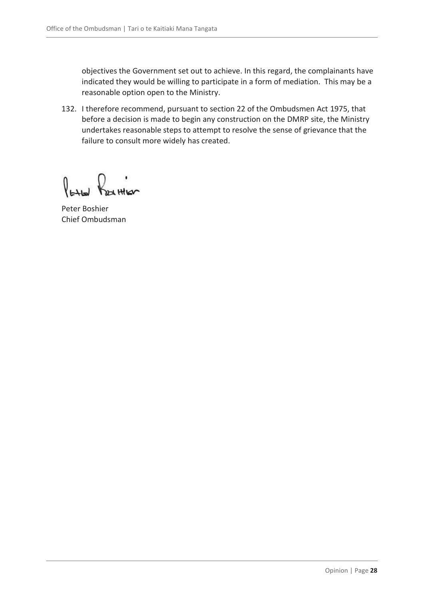objectives the Government set out to achieve. In this regard, the complainants have indicated they would be willing to participate in a form of mediation. This may be a reasonable option open to the Ministry.

132. I therefore recommend, pursuant to section 22 of the Ombudsmen Act 1975, that before a decision is made to begin any construction on the DMRP site, the Ministry undertakes reasonable steps to attempt to resolve the sense of grievance that the failure to consult more widely has created.

 $\int_{\mathsf{H}\cup\mathsf{H}}$ \*HILO

Peter Boshier Chief Ombudsman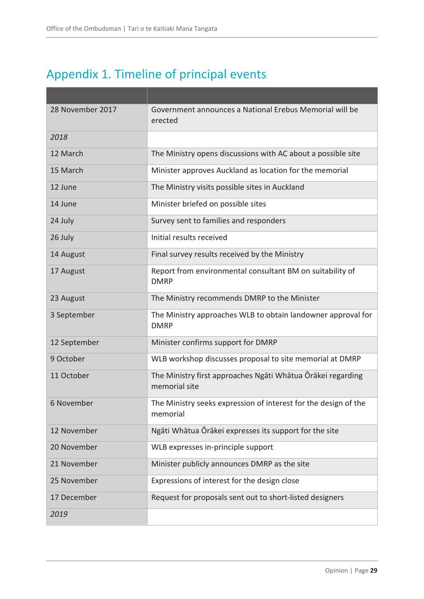# <span id="page-28-0"></span>Appendix 1. Timeline of principal events

| 28 November 2017 | Government announces a National Erebus Memorial will be<br>erected           |
|------------------|------------------------------------------------------------------------------|
| 2018             |                                                                              |
| 12 March         | The Ministry opens discussions with AC about a possible site                 |
| 15 March         | Minister approves Auckland as location for the memorial                      |
| 12 June          | The Ministry visits possible sites in Auckland                               |
| 14 June          | Minister briefed on possible sites                                           |
| 24 July          | Survey sent to families and responders                                       |
| 26 July          | Initial results received                                                     |
| 14 August        | Final survey results received by the Ministry                                |
| 17 August        | Report from environmental consultant BM on suitability of<br><b>DMRP</b>     |
| 23 August        | The Ministry recommends DMRP to the Minister                                 |
| 3 September      | The Ministry approaches WLB to obtain landowner approval for<br><b>DMRP</b>  |
| 12 September     | Minister confirms support for DMRP                                           |
| 9 October        | WLB workshop discusses proposal to site memorial at DMRP                     |
| 11 October       | The Ministry first approaches Ngāti Whātua Ōrākei regarding<br>memorial site |
| 6 November       | The Ministry seeks expression of interest for the design of the<br>memorial  |
| 12 November      | Ngāti Whātua Ōrākei expresses its support for the site                       |
| 20 November      | WLB expresses in-principle support                                           |
| 21 November      | Minister publicly announces DMRP as the site                                 |
| 25 November      | Expressions of interest for the design close                                 |
| 17 December      | Request for proposals sent out to short-listed designers                     |
| 2019             |                                                                              |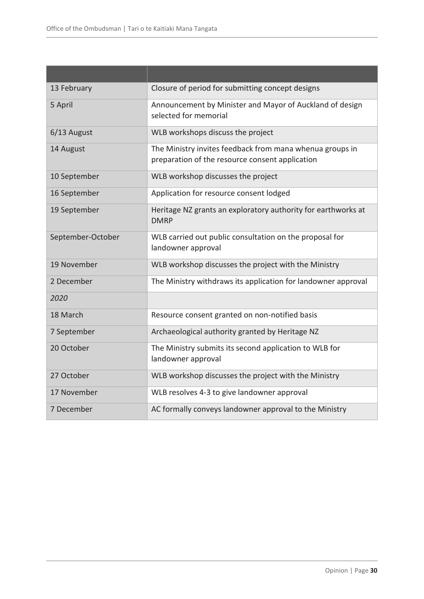| 13 February       | Closure of period for submitting concept designs                                                            |
|-------------------|-------------------------------------------------------------------------------------------------------------|
| 5 April           | Announcement by Minister and Mayor of Auckland of design<br>selected for memorial                           |
| $6/13$ August     | WLB workshops discuss the project                                                                           |
| 14 August         | The Ministry invites feedback from mana whenua groups in<br>preparation of the resource consent application |
| 10 September      | WLB workshop discusses the project                                                                          |
| 16 September      | Application for resource consent lodged                                                                     |
| 19 September      | Heritage NZ grants an exploratory authority for earthworks at<br><b>DMRP</b>                                |
| September-October | WLB carried out public consultation on the proposal for<br>landowner approval                               |
| 19 November       | WLB workshop discusses the project with the Ministry                                                        |
| 2 December        | The Ministry withdraws its application for landowner approval                                               |
| 2020              |                                                                                                             |
| 18 March          | Resource consent granted on non-notified basis                                                              |
| 7 September       | Archaeological authority granted by Heritage NZ                                                             |
| 20 October        | The Ministry submits its second application to WLB for<br>landowner approval                                |
| 27 October        | WLB workshop discusses the project with the Ministry                                                        |
| 17 November       | WLB resolves 4-3 to give landowner approval                                                                 |
| 7 December        | AC formally conveys landowner approval to the Ministry                                                      |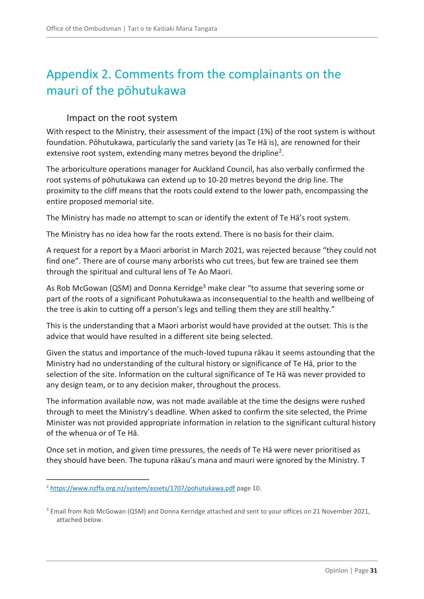# <span id="page-30-0"></span>Appendix 2. Comments from the complainants on the mauri of the pōhutukawa

### Impact on the root system

<span id="page-30-1"></span>With respect to the Ministry, their assessment of the impact (1%) of the root system is without foundation. Pōhutukawa, particularly the sand variety (as Te Hā is), are renowned for their extensive root system, extending many metres beyond the dripline<sup>2</sup>.

The arboriculture operations manager for Auckland Council, has also verbally confirmed the root systems of pōhutukawa can extend up to 10-20 metres beyond the drip line. The proximity to the cliff means that the roots could extend to the lower path, encompassing the entire proposed memorial site.

The Ministry has made no attempt to scan or identify the extent of Te Hā's root system.

The Ministry has no idea how far the roots extend. There is no basis for their claim.

A request for a report by a Maori arborist in March 2021, was rejected because "they could not find one". There are of course many arborists who cut trees, but few are trained see them through the spiritual and cultural lens of Te Ao Maori.

As Rob McGowan (QSM) and Donna Kerridge<sup>3</sup> make clear "to assume that severing some or part of the roots of a significant Pohutukawa as inconsequential to the health and wellbeing of the tree is akin to cutting off a person's legs and telling them they are still healthy."

This is the understanding that a Maori arborist would have provided at the outset. This is the advice that would have resulted in a different site being selected.

Given the status and importance of the much-loved tupuna rākau it seems astounding that the Ministry had no understanding of the cultural history or significance of Te Hā, prior to the selection of the site. Information on the cultural significance of Te Hā was never provided to any design team, or to any decision maker, throughout the process.

The information available now, was not made available at the time the designs were rushed through to meet the Ministry's deadline. When asked to confirm the site selected, the Prime Minister was not provided appropriate information in relation to the significant cultural history of the whenua or of Te Hā.

Once set in motion, and given time pressures, the needs of Te Hā were never prioritised as they should have been. The tupuna rākau's mana and mauri were ignored by the Ministry. T

 $\overline{a}$ 

<sup>&</sup>lt;sup>2</sup> <https://www.nzffa.org.nz/system/assets/1707/pohutukawa.pdf> page 10.

<sup>&</sup>lt;sup>3</sup> Email from Rob McGowan (QSM) and Donna Kerridge attached and sent to your offices on 21 November 2021, attached below.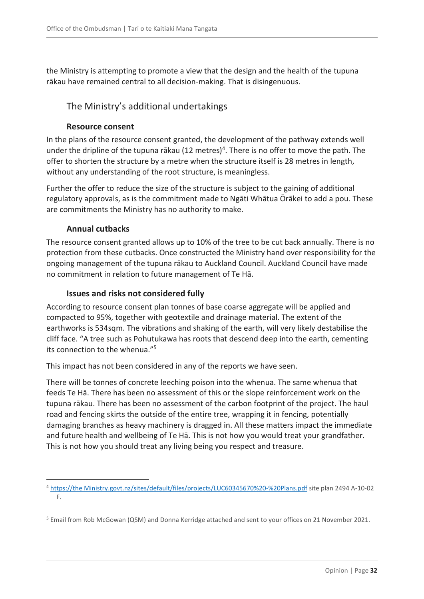the Ministry is attempting to promote a view that the design and the health of the tupuna rākau have remained central to all decision-making. That is disingenuous.

### <span id="page-31-0"></span>The Ministry's additional undertakings

#### **Resource consent**

In the plans of the resource consent granted, the development of the pathway extends well under the dripline of the tupuna rākau (12 metres)<sup>4</sup>. There is no offer to move the path. The offer to shorten the structure by a metre when the structure itself is 28 metres in length, without any understanding of the root structure, is meaningless.

Further the offer to reduce the size of the structure is subject to the gaining of additional regulatory approvals, as is the commitment made to Ngāti Whātua Ōrākei to add a pou. These are commitments the Ministry has no authority to make.

#### **Annual cutbacks**

 $\overline{a}$ 

The resource consent granted allows up to 10% of the tree to be cut back annually. There is no protection from these cutbacks. Once constructed the Ministry hand over responsibility for the ongoing management of the tupuna rākau to Auckland Council. Auckland Council have made no commitment in relation to future management of Te Hā.

#### **Issues and risks not considered fully**

According to resource consent plan tonnes of base coarse aggregate will be applied and compacted to 95%, together with geotextile and drainage material. The extent of the earthworks is 534sqm. The vibrations and shaking of the earth, will very likely destabilise the cliff face. "A tree such as Pohutukawa has roots that descend deep into the earth, cementing its connection to the whenua  $^{1/5}$ 

This impact has not been considered in any of the reports we have seen.

There will be tonnes of concrete leeching poison into the whenua. The same whenua that feeds Te Hā. There has been no assessment of this or the slope reinforcement work on the tupuna rākau. There has been no assessment of the carbon footprint of the project. The haul road and fencing skirts the outside of the entire tree, wrapping it in fencing, potentially damaging branches as heavy machinery is dragged in. All these matters impact the immediate and future health and wellbeing of Te Hā. This is not how you would treat your grandfather. This is not how you should treat any living being you respect and treasure.

<sup>4</sup> [https://the Ministry.govt.nz/sites/default/files/projects/LUC60345670%20-%20Plans.pdf](https://mch.govt.nz/sites/default/files/projects/LUC60345670%20-%20Plans.pdf) site plan 2494 A-10-02 F.

<sup>5</sup> Email from Rob McGowan (QSM) and Donna Kerridge attached and sent to your offices on 21 November 2021.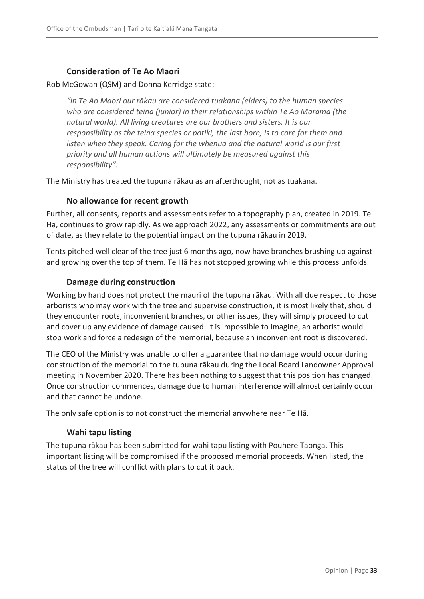#### **Consideration of Te Ao Maori**

#### Rob McGowan (QSM) and Donna Kerridge state:

*"In Te Ao Maori our rākau are considered tuakana (elders) to the human species who are considered teina (junior) in their relationships within Te Ao Marama (the natural world). All living creatures are our brothers and sisters. It is our responsibility as the teina species or potiki, the last born, is to care for them and listen when they speak. Caring for the whenua and the natural world is our first priority and all human actions will ultimately be measured against this responsibility".*

The Ministry has treated the tupuna rākau as an afterthought, not as tuakana.

#### **No allowance for recent growth**

Further, all consents, reports and assessments refer to a topography plan, created in 2019. Te Hā, continues to grow rapidly. As we approach 2022, any assessments or commitments are out of date, as they relate to the potential impact on the tupuna rākau in 2019.

Tents pitched well clear of the tree just 6 months ago, now have branches brushing up against and growing over the top of them. Te Hā has not stopped growing while this process unfolds.

#### **Damage during construction**

Working by hand does not protect the mauri of the tupuna rākau. With all due respect to those arborists who may work with the tree and supervise construction, it is most likely that, should they encounter roots, inconvenient branches, or other issues, they will simply proceed to cut and cover up any evidence of damage caused. It is impossible to imagine, an arborist would stop work and force a redesign of the memorial, because an inconvenient root is discovered.

The CEO of the Ministry was unable to offer a guarantee that no damage would occur during construction of the memorial to the tupuna rākau during the Local Board Landowner Approval meeting in November 2020. There has been nothing to suggest that this position has changed. Once construction commences, damage due to human interference will almost certainly occur and that cannot be undone.

The only safe option is to not construct the memorial anywhere near Te Hā.

#### **Wahi tapu listing**

The tupuna rākau has been submitted for wahi tapu listing with Pouhere Taonga. This important listing will be compromised if the proposed memorial proceeds. When listed, the status of the tree will conflict with plans to cut it back.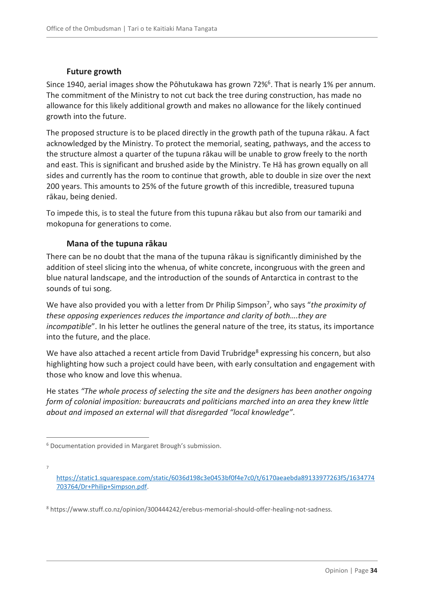#### **Future growth**

Since 1940, aerial images show the Pōhutukawa has grown 72%<sup>6</sup>. That is nearly 1% per annum. The commitment of the Ministry to not cut back the tree during construction, has made no allowance for this likely additional growth and makes no allowance for the likely continued growth into the future.

The proposed structure is to be placed directly in the growth path of the tupuna rākau. A fact acknowledged by the Ministry. To protect the memorial, seating, pathways, and the access to the structure almost a quarter of the tupuna rākau will be unable to grow freely to the north and east. This is significant and brushed aside by the Ministry. Te Hā has grown equally on all sides and currently has the room to continue that growth, able to double in size over the next 200 years. This amounts to 25% of the future growth of this incredible, treasured tupuna rākau, being denied.

To impede this, is to steal the future from this tupuna rākau but also from our tamariki and mokopuna for generations to come.

#### **Mana of the tupuna rākau**

There can be no doubt that the mana of the tupuna rākau is significantly diminished by the addition of steel slicing into the whenua, of white concrete, incongruous with the green and blue natural landscape, and the introduction of the sounds of Antarctica in contrast to the sounds of tui song.

We have also provided you with a letter from Dr Philip Simpson<sup>7</sup>, who says "the proximity of *these opposing experiences reduces the importance and clarity of both….they are incompatible*". In his letter he outlines the general nature of the tree, its status, its importance into the future, and the place.

We have also attached a recent article from David Trubridge<sup>8</sup> expressing his concern, but also highlighting how such a project could have been, with early consultation and engagement with those who know and love this whenua.

He states *"The whole process of selecting the site and the designers has been another ongoing form of colonial imposition: bureaucrats and politicians marched into an area they knew little about and imposed an external will that disregarded "local knowledge"*.

 $\overline{a}$ 

7

<sup>6</sup> Documentation provided in Margaret Brough's submission.

[https://static1.squarespace.com/static/6036d198c3e0453bf0f4e7c0/t/6170aeaebda89133977263f5/1634774](https://static1.squarespace.com/static/6036d198c3e0453bf0f4e7c0/t/6170aeaebda89133977263f5/1634774703764/Dr+Philip+Simpson.pdf) [703764/Dr+Philip+Simpson.pdf.](https://static1.squarespace.com/static/6036d198c3e0453bf0f4e7c0/t/6170aeaebda89133977263f5/1634774703764/Dr+Philip+Simpson.pdf)

<sup>8</sup> https://www.stuff.co.nz/opinion/300444242/erebus-memorial-should-offer-healing-not-sadness.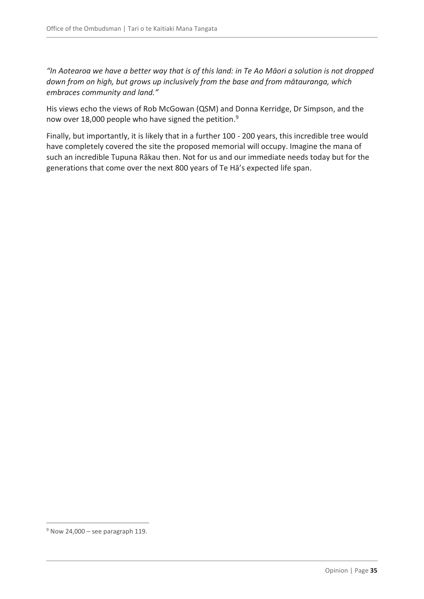*"In Aotearoa we have a better way that is of this land: in Te Ao Māori a solution is not dropped down from on high, but grows up inclusively from the base and from mātauranga, which embraces community and land."*

His views echo the views of Rob McGowan (QSM) and Donna Kerridge, Dr Simpson, and the now over 18,000 people who have signed the petition.<sup>9</sup>

Finally, but importantly, it is likely that in a further 100 - 200 years, this incredible tree would have completely covered the site the proposed memorial will occupy. Imagine the mana of such an incredible Tupuna Rākau then. Not for us and our immediate needs today but for the generations that come over the next 800 years of Te Hā's expected life span.

 $\overline{a}$ 

 $9$  Now 24,000 – see paragraph 119.